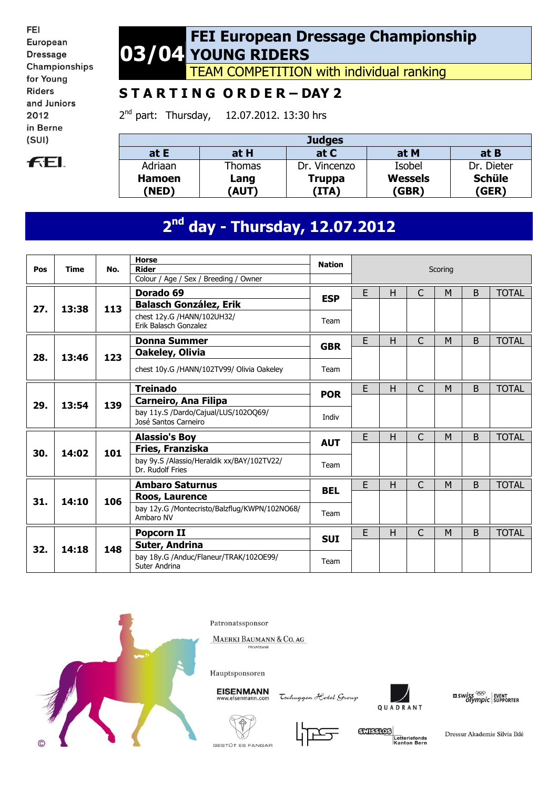FEI European **Dressage** Championships for Young **Riders** and Juniors 2012 in Berne  $(SUI)$ 



### **03/04 FEI European Dressage Championship YOUNG RIDERS**

TEAM COMPETITION with individual ranking

## **S T A R T I N G O R D E R – DAY 2**

2<sup>nd</sup> part: Thursday, 12.07.2012. 13:30 hrs

| <b>Judges</b> |             |              |                |               |  |  |  |  |  |
|---------------|-------------|--------------|----------------|---------------|--|--|--|--|--|
| at E          | at H        | at C         | at M           | at B          |  |  |  |  |  |
| Adriaan       | Thomas      | Dr. Vincenzo | Isobel         | Dr. Dieter    |  |  |  |  |  |
| <b>Hamoen</b> | Lang        | Truppa       | <b>Wessels</b> | <b>Schüle</b> |  |  |  |  |  |
| 'NED)         | <b>AUT)</b> | (ITA)        | 'GBR)          | (GER)         |  |  |  |  |  |

# **2 nd day - Thursday, 12.07.2012**

| Pos | <b>Time</b> | No. | <b>Horse</b><br><b>Rider</b>                                                         | <b>Nation</b> | Scoring |   |              |   |              |              |
|-----|-------------|-----|--------------------------------------------------------------------------------------|---------------|---------|---|--------------|---|--------------|--------------|
|     | 13:38       | 113 | Colour / Age / Sex / Breeding / Owner<br>Dorado 69                                   | <b>ESP</b>    | E       | H | $\mathsf{C}$ | M | B            | <b>TOTAL</b> |
| 27. |             |     | <b>Balasch González, Erik</b><br>chest 12y.G /HANN/102UH32/<br>Erik Balasch Gonzalez | Team          |         |   |              |   |              |              |
|     |             | 123 | <b>Donna Summer</b>                                                                  | <b>GBR</b>    | E       | H | $\mathsf{C}$ | M | B            | <b>TOTAL</b> |
| 28. | 13:46       |     | Oakeley, Olivia<br>chest 10y.G /HANN/102TV99/ Olivia Oakeley                         | Team          |         |   |              |   |              |              |
|     | 13:54       | 139 | <b>Treinado</b>                                                                      | <b>POR</b>    | E       | H | C            | M | B            | <b>TOTAL</b> |
| 29. |             |     | Carneiro, Ana Filipa<br>bay 11y.S /Dardo/Cajual/LUS/102OQ69/<br>José Santos Carneiro | Indiv         |         |   |              |   |              |              |
|     | 14:02       | 101 | <b>Alassio's Boy</b>                                                                 | <b>AUT</b>    | E       | H | C            | M | B            | <b>TOTAL</b> |
| 30. |             |     | Fries, Franziska                                                                     |               |         |   |              |   |              |              |
|     |             |     | bay 9y.S /Alassio/Heraldik xx/BAY/102TV22/<br>Dr. Rudolf Fries                       | Team          |         |   |              |   |              |              |
|     | 14:10       | 106 | <b>Ambaro Saturnus</b>                                                               | <b>BEL</b>    | E       | H | $\mathsf{C}$ | M | <sub>B</sub> | <b>TOTAL</b> |
| 31. |             |     | Roos, Laurence                                                                       |               |         |   |              |   |              |              |
|     |             |     | bay 12y.G /Montecristo/Balzflug/KWPN/102NO68/<br>Ambaro NV                           | Team          |         |   |              |   |              |              |
|     |             | 148 | Popcorn II                                                                           | <b>SUI</b>    | E       | H | C            | M | B            | <b>TOTAL</b> |
| 32. | 14:18       |     | Suter, Andrina                                                                       |               |         |   |              |   |              |              |
|     |             |     | bay 18y.G /Anduc/Flaneur/TRAK/102OE99/<br>Suter Andrina                              | Team          |         |   |              |   |              |              |



Patronatssponsor

MAERKI BAUMANN & CO. AG

Hauptsponsoren



Tschuggen Hotel Group



 $\begin{array}{l|l} \texttt{mswiss} \overset{\otimes\!\otimes}{\longrightarrow} & \texttt{event} \\ \texttt{olympic} & \texttt{superover} \end{array}$ 







Dressur Akademie Silvia Iklé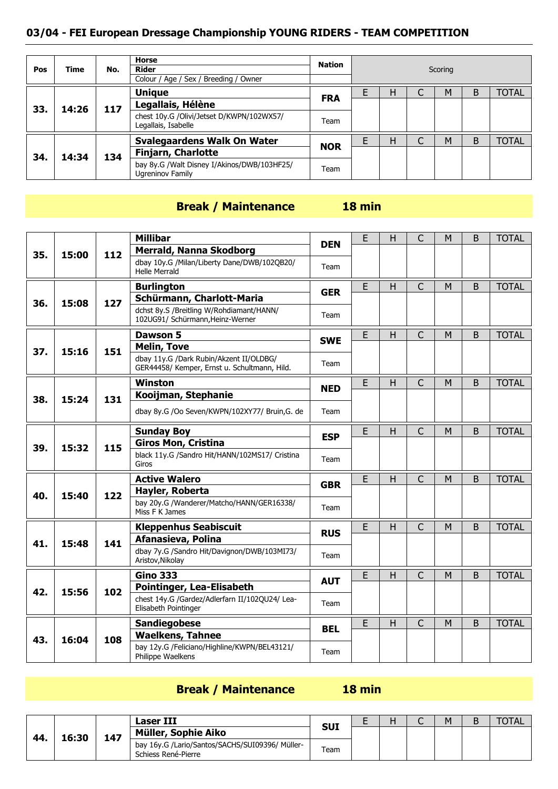#### **03/04 - FEI European Dressage Championship YOUNG RIDERS - TEAM COMPETITION**

| Pos | <b>Time</b> | No. | <b>Horse</b><br>Rider                                            | Nation     | Scoring |   |  |   |   |              |  |
|-----|-------------|-----|------------------------------------------------------------------|------------|---------|---|--|---|---|--------------|--|
|     |             |     | Colour / Age / Sex / Breeding / Owner                            |            |         |   |  |   |   |              |  |
|     | 14:26       | 117 | <b>Unique</b>                                                    |            |         | Н |  | M | B | <b>TOTAL</b> |  |
| 33. |             |     | Legallais, Hélène                                                | <b>FRA</b> |         |   |  |   |   |              |  |
|     |             |     | chest 10y.G /Olivi/Jetset D/KWPN/102WX57/<br>Legallais, Isabelle | Team       |         |   |  |   |   |              |  |
|     | 14:34       |     | <b>Svalegaardens Walk On Water</b>                               | <b>NOR</b> |         | н |  | M | B | <b>TOTAL</b> |  |
| 34. |             | 134 | <b>Finjarn, Charlotte</b>                                        |            |         |   |  |   |   |              |  |
|     |             |     | bay 8y.G /Walt Disney I/Akinos/DWB/103HF25/<br>Ugreninov Family  | Team       |         |   |  |   |   |              |  |

#### **Break / Maintenance 18 min**

#### **35. 15:00 112 Millibar DEN** <sup>E</sup> <sup>H</sup> <sup>C</sup> <sup>M</sup> <sup>B</sup> TOTAL **Merrald, Nanna Skodborg** dbay 10y.G /Milan/Liberty Dane/DWB/102QB20/ Team<br>Helle Merrald **36. 15:08 127 Burlington GER** <sup>E</sup> <sup>H</sup> <sup>C</sup> <sup>M</sup> <sup>B</sup> TOTAL **Schürmann, Charlott-Maria** dchst 8y.S /Breitling W/Rohdiamant/HANN/ dchst by Sylverding WyRondiamanty Harviv<br>102UG91/ Schürmann, Heinz-Werner Team **37. 15:16 151 Dawson 5 SWE** <sup>E</sup> <sup>H</sup> <sup>C</sup> <sup>M</sup> <sup>B</sup> TOTAL **Melin, Tove** dbay 11y.G /Dark Rubin/Akzent II/OLDBG/ GER44458/ Kemper, Ernst u. Schultmann, Hild. Team **38. 15:24 131 Winston NED** <sup>E</sup> <sup>H</sup> <sup>C</sup> <sup>M</sup> <sup>B</sup> TOTAL **Kooijman, Stephanie** dbay 8y.G /Oo Seven/KWPN/102XY77/ Bruin,G. de | Team **39. 15:32 115 Sunday Boy E** H C M B TOTAL **Giros Mon, Cristina** black 11y.G /Sandro Hit/HANN/102MS17/ Cristina Giros Team **40. 15:40 122 Active Walero GBR** <sup>E</sup> <sup>H</sup> <sup>C</sup> <sup>M</sup> <sup>B</sup> TOTAL **Hayler, Roberta** bay 20y.G /Wanderer/Matcho/HANN/GER16338/ Day 209.G / Wanderer/Matcho/HANN/GER16338/ Team **41. 15:48 141 Kleppenhus Seabiscuit RUS** <sup>E</sup> <sup>H</sup> <sup>C</sup> <sup>M</sup> <sup>B</sup> TOTAL **Afanasieva, Polina** dbay 7y.G /Sandro Hit/Davignon/DWB/103MI73/ abay 7y.G /Sandro Hit/Davighon/Dwb/103PI1/3/ Team **42. 15:56 102 Gino 333 AUT** <sup>E</sup> <sup>H</sup> <sup>C</sup> <sup>M</sup> <sup>B</sup> TOTAL **Pointinger, Lea-Elisabeth** chest 14y.G /Gardez/Adlerfarn II/102QU24/ Lea-Criest 14y.G /Gardez/Adieriani 11/102Q024/ Lea-<br>Elisabeth Pointinger **43. 16:04 108 Sandiegobese BEL** <sup>E</sup> <sup>H</sup> <sup>C</sup> <sup>M</sup> <sup>B</sup> TOTAL **Waelkens, Tahnee** bay 12y.G /Feliciano/Highline/KWPN/BEL43121/ Day 12y.G / Feliciano/ Filghill le/ NWPN/ BEL43121/ Team

#### **Break / Maintenance 18 min**

| 44. | 16:30 | 147 | <b>Laser III</b>                                                       | <b>SUI</b> | - | н | -<br>$\overline{\phantom{0}}$ | Μ | D |  |
|-----|-------|-----|------------------------------------------------------------------------|------------|---|---|-------------------------------|---|---|--|
|     |       |     | Müller, Sophie Aiko                                                    |            |   |   |                               |   |   |  |
|     |       |     | bay 16y G /Lario/Santos/SACHS/SUI09396/ Müller-<br>Schiess René-Pierre | Team       |   |   |                               |   |   |  |